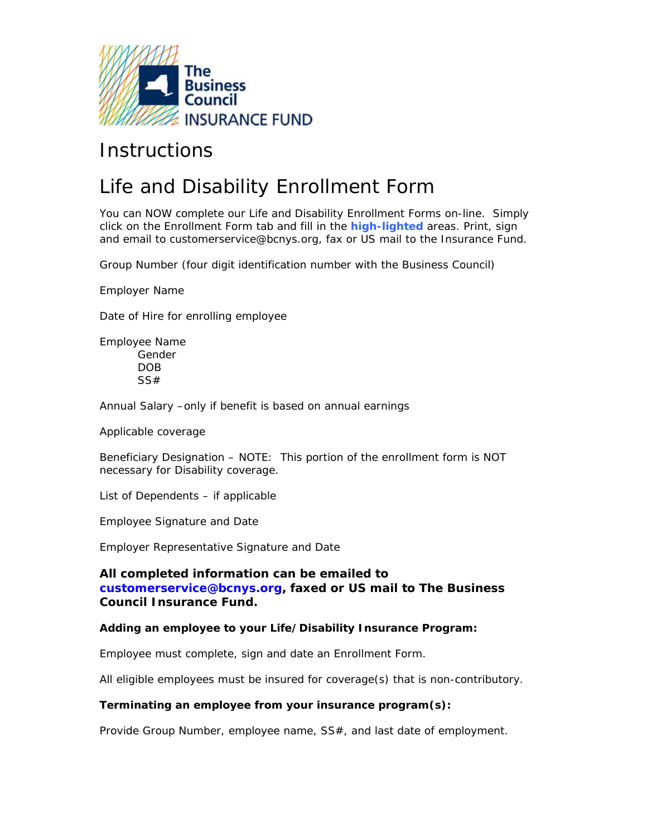

# **Instructions**

# Life and Disability Enrollment Form

You can NOW complete our Life and Disability Enrollment Forms on-line. Simply click on the Enrollment Form tab and fill in the **high-lighted** areas. Print, sign and email to customerservice@bcnys.org, fax or US mail to the Insurance Fund.

Group Number (four digit identification number with the Business Council)

Employer Name

Date of Hire for enrolling employee

Employee Name Gender DOB SS#

Annual Salary –only if benefit is based on annual earnings

Applicable coverage

Beneficiary Designation – NOTE: This portion of the enrollment form is NOT necessary for Disability coverage.

List of Dependents – if applicable

Employee Signature and Date

Employer Representative Signature and Date

## **All completed information can be emailed to [customerservice@bcnys.org,](mailto:customerservice@bcnys.org?subject=Status Changes&body=Please be sure to include: Group Number, Group Name, Name of employee and Effective of change) faxed or US mail to The Business Council Insurance Fund.**

#### **Adding an employee to your Life/Disability Insurance Program:**

Employee must complete, sign and date an Enrollment Form.

All eligible employees must be insured for coverage(s) that is non-contributory.

#### **Terminating an employee from your insurance program(s):**

Provide Group Number, employee name, SS#, and last date of employment.